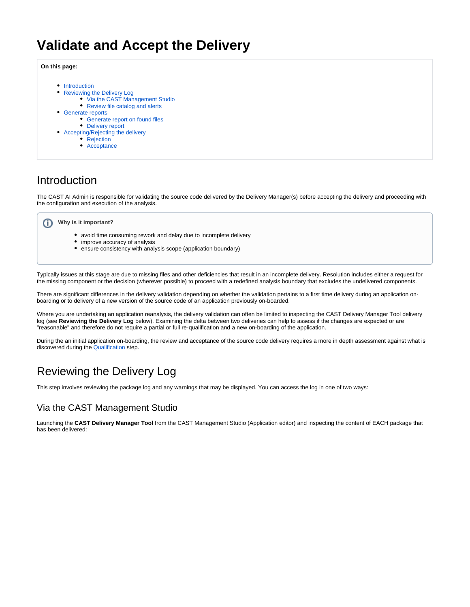# **Validate and Accept the Delivery**

**On this page:**

- [Introduction](#page-0-0)
- [Reviewing the Delivery Log](#page-0-1)
	- [Via the CAST Management Studio](#page-0-2)
	- [Review file catalog and alerts](#page-1-0)
- [Generate reports](#page-2-0)
	- [Generate report on found files](#page-2-1)
	- [Delivery report](#page-3-0)
- [Accepting/Rejecting the delivery](#page-4-0)
	- [Rejection](#page-4-1)
	- [Acceptance](#page-5-0)

### <span id="page-0-0"></span>Introduction

The CAST AI Admin is responsible for validating the source code delivered by the Delivery Manager(s) before accepting the delivery and proceeding with the configuration and execution of the analysis.



- avoid time consuming rework and delay due to incomplete delivery
- improve accuracy of analysis
- ensure consistency with analysis scope (application boundary)

Typically issues at this stage are due to missing files and other deficiencies that result in an incomplete delivery. Resolution includes either a request for the missing component or the decision (wherever possible) to proceed with a redefined analysis boundary that excludes the undelivered components.

There are significant differences in the delivery validation depending on whether the validation pertains to a first time delivery during an application onboarding or to delivery of a new version of the source code of an application previously on-boarded.

Where you are undertaking an application reanalysis, the delivery validation can often be limited to inspecting the CAST Delivery Manager Tool delivery log (see **Reviewing the Delivery Log** below). Examining the delta between two deliveries can help to assess if the changes are expected or are "reasonable" and therefore do not require a partial or full re-qualification and a new on-boarding of the application.

During the an initial application on-boarding, the review and acceptance of the source code delivery requires a more in depth assessment against what is discovered during the [Qualification](https://doc.castsoftware.com/display/DOC83/Qualification) step.

## <span id="page-0-1"></span>Reviewing the Delivery Log

This step involves reviewing the package log and any warnings that may be displayed. You can access the log in one of two ways:

### <span id="page-0-2"></span>Via the CAST Management Studio

Launching the **CAST Delivery Manager Tool** from the CAST Management Studio (Application editor) and inspecting the content of EACH package that has been delivered: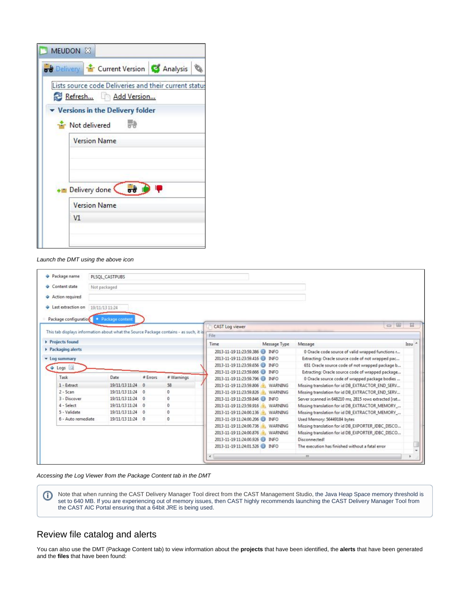| MEUDON X                                                                    |
|-----------------------------------------------------------------------------|
| <b>od</b> Delivery <b>12</b> Current Version <b>C</b> Analysis              |
| Lists source code Deliveries and their current statu<br>Refresh Add Version |
| Versions in the Delivery folder                                             |
| 湯<br><b>The Not delivered</b>                                               |
| <b>Version Name</b>                                                         |
|                                                                             |
|                                                                             |
| Delivery done & od<br><b>IQ</b>                                             |
| <b>Version Name</b>                                                         |
| V1                                                                          |
|                                                                             |
|                                                                             |

#### Launch the DMT using the above icon

| Package name                                                                          | PLSOL CASTPUBS    |              |            |                                         |                |                                                       |        |      |
|---------------------------------------------------------------------------------------|-------------------|--------------|------------|-----------------------------------------|----------------|-------------------------------------------------------|--------|------|
| Content state                                                                         | Not packaged      |              |            |                                         |                |                                                       |        |      |
| Action required                                                                       |                   |              |            |                                         |                |                                                       |        |      |
| Last extraction on                                                                    | 19/11/13 11:24    |              |            |                                         |                |                                                       |        |      |
|                                                                                       |                   |              |            |                                         |                |                                                       |        |      |
| Package configuration                                                                 | · Package content |              |            | CAST Log viewer                         |                |                                                       | $\Box$ | 53   |
| This tab displays information about what the Source Package contains - as such, it is |                   |              |            |                                         |                |                                                       |        |      |
|                                                                                       |                   |              |            | File                                    |                |                                                       |        |      |
| Projects found                                                                        |                   |              |            | Time                                    | Message Type   | Message                                               |        | Issu |
| Packaging alerts                                                                      |                   |              |            | 2013-11-19 11:23:59.386 (D) INFO        |                | 0 Oracle code source of valid wrapped functions r     |        |      |
| • Log summary                                                                         |                   |              |            | 2013-11-19 11:23:59.416 D INFO          |                | Extracting: Oracle source code of not wrapped pac     |        |      |
| $\triangle$ Logs $\Box$                                                               |                   |              |            | 2013-11-19 11:23:59.656                 | <b>INFO</b>    | 651 Oracle source code of not wrapped package b       |        |      |
|                                                                                       |                   |              |            | 2013-11-19 11:23:59.666 <b>(D)</b> INFO |                | Extracting: Oracle source code of wrapped package     |        |      |
| Task                                                                                  | Date              | # Errors     | # Warnings | 2013-11-19 11:23:59.796 (ii)            | <b>INFO</b>    | 0 Oracle source code of wrapped package bodies        |        |      |
| $1 -$ Extract                                                                         | 19/11/13 11:24    | $^{\circ}$   | 58         | 2013-11-19 11:23:59.806                 | <b>WARNING</b> | Missing translation for id DB EXTRACTOR END SERV      |        |      |
| $2 -$ Scan                                                                            | 19/11/13 11:24    | $\mathbf{0}$ | $\Omega$   | 2013-11-19 11:23:59 826                 | <b>WARNING</b> | Missing translation for id DB_EXTRACTOR_END_SERV      |        |      |
| 3 - Discover                                                                          | 19/11/13 11:24 0  |              | $\theta$   | 2013-11-19 11:23:59.846                 | <b>INFO</b>    | Server scanned in 648210 ms, 2815 rows extracted [rat |        |      |
| $4 - Select$                                                                          | 19/11/13 11:24    | $^{\circ}$   | 0          | 2013-11-19 11:23:59.916                 | <b>WARNING</b> | Missing translation for id DB_EXTRACTOR_MEMORY        |        |      |
| 5 - Validate                                                                          | 19/11/13 11:24    | $^{\circ}$   | $^{\circ}$ | 2013-11-19 11:24:00.136                 | WARNING        | Missing translation for id DB EXTRACTOR MEMORY        |        |      |
| 6 - Auto remediate                                                                    | 19/11/13 11:24 0  |              | 0          | 2013-11-19 11:24:00.206                 | <b>INFO</b>    | Used Memory: 56449184 bytes                           |        |      |
|                                                                                       |                   |              |            | 2013-11-19 11:24:00.736                 | WARNING        | Missing translation for id DB_EXPORTER_JDBC_DISCO     |        |      |
|                                                                                       |                   |              |            | 2013-11-19 11:24:00.876                 | WARNING        | Missing translation for id DB_EXPORTER_JDBC_DISCO     |        |      |
|                                                                                       |                   |              |            | 2013-11-19 11:24:00.926                 | <b>INFO</b>    | Disconnected!                                         |        |      |
|                                                                                       |                   |              |            | 2013-11-19 11:24:01.526 C INFO          |                | The execution has finished without a fatal error      |        |      |
|                                                                                       |                   |              |            |                                         |                |                                                       |        |      |

Accessing the Log Viewer from the Package Content tab in the DMT

Note that when running the CAST Delivery Manager Tool direct from the CAST Management Studio, the Java Heap Space memory threshold is set to 640 MB. If you are experiencing out of memory issues, then CAST highly recommends launching the CAST Delivery Manager Tool from the CAST AIC Portal ensuring that a 64bit JRE is being used.

#### <span id="page-1-0"></span>Review file catalog and alerts

You can also use the DMT (Package Content tab) to view information about the **projects** that have been identified, the **alerts** that have been generated and the **files** that have been found: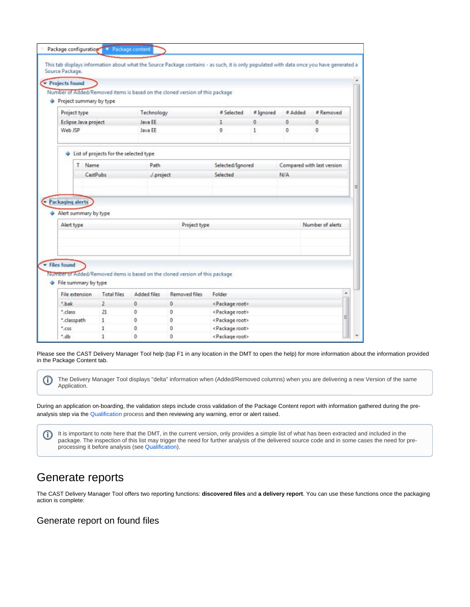| Number of Added/Removed items is based on the cloned version of this package<br># Selected<br># Ignored<br>Project type<br>Technology<br>Eclipse Java project<br>Java EE<br>0<br>1<br>Web JSP<br>Java FF<br>$\theta$<br>1<br>List of projects for the selected type<br>Name<br>Path<br>Selected/Ignored<br>Τ<br>CastPubs<br>Selected<br>/.project<br>Alert summary by type<br>Alert type<br>Project type | # Added<br>0<br>$\Omega$<br>N/A | # Removed<br>0<br>0<br>Compared with last version |
|----------------------------------------------------------------------------------------------------------------------------------------------------------------------------------------------------------------------------------------------------------------------------------------------------------------------------------------------------------------------------------------------------------|---------------------------------|---------------------------------------------------|
| Project summary by type                                                                                                                                                                                                                                                                                                                                                                                  |                                 |                                                   |
| Packaging alerty                                                                                                                                                                                                                                                                                                                                                                                         |                                 |                                                   |
|                                                                                                                                                                                                                                                                                                                                                                                                          |                                 |                                                   |
|                                                                                                                                                                                                                                                                                                                                                                                                          |                                 |                                                   |
|                                                                                                                                                                                                                                                                                                                                                                                                          |                                 |                                                   |
|                                                                                                                                                                                                                                                                                                                                                                                                          |                                 |                                                   |
|                                                                                                                                                                                                                                                                                                                                                                                                          |                                 |                                                   |
|                                                                                                                                                                                                                                                                                                                                                                                                          |                                 |                                                   |
|                                                                                                                                                                                                                                                                                                                                                                                                          |                                 |                                                   |
|                                                                                                                                                                                                                                                                                                                                                                                                          |                                 |                                                   |
|                                                                                                                                                                                                                                                                                                                                                                                                          |                                 |                                                   |
|                                                                                                                                                                                                                                                                                                                                                                                                          |                                 |                                                   |
|                                                                                                                                                                                                                                                                                                                                                                                                          |                                 | Number of alerts                                  |
|                                                                                                                                                                                                                                                                                                                                                                                                          |                                 |                                                   |
|                                                                                                                                                                                                                                                                                                                                                                                                          |                                 |                                                   |
|                                                                                                                                                                                                                                                                                                                                                                                                          |                                 |                                                   |
| Files found                                                                                                                                                                                                                                                                                                                                                                                              |                                 |                                                   |
| Number of Added/Removed items is based on the cloned version of this package                                                                                                                                                                                                                                                                                                                             |                                 |                                                   |
| File summary by type                                                                                                                                                                                                                                                                                                                                                                                     |                                 |                                                   |
| Added files<br>Removed files<br>File extension<br><b>Total files</b><br>Folder                                                                                                                                                                                                                                                                                                                           |                                 |                                                   |
| * bak                                                                                                                                                                                                                                                                                                                                                                                                    |                                 |                                                   |
| $\overline{2}$<br>0<br><package root=""><br/>0</package>                                                                                                                                                                                                                                                                                                                                                 |                                 |                                                   |
| * class<br>21<br>$\mathbf{0}$<br>$\mathbf{0}$<br><package root=""></package>                                                                                                                                                                                                                                                                                                                             |                                 |                                                   |

Please see the CAST Delivery Manager Tool help (tap F1 in any location in the DMT to open the help) for more information about the information provided in the Package Content tab.

The Delivery Manager Tool displays "delta" information when (Added/Removed columns) when you are delivering a new Version of the same Application.

During an application on-boarding, the validation steps include cross validation of the Package Content report with information gathered during the preanalysis step via the [Qualification](https://doc.castsoftware.com/display/DOC83/Qualification) process and then reviewing any warning, error or alert raised.

It is important to note here that the DMT, in the current version, only provides a simple list of what has been extracted and included in the ത package. The inspection of this list may trigger the need for further analysis of the delivered source code and in some cases the need for preprocessing it before analysis (see [Qualification](https://doc.castsoftware.com/display/DOC83/Qualification)).

### <span id="page-2-0"></span>Generate reports

ത

The CAST Delivery Manager Tool offers two reporting functions: **discovered files** and **a delivery report**. You can use these functions once the packaging action is complete:

#### <span id="page-2-1"></span>Generate report on found files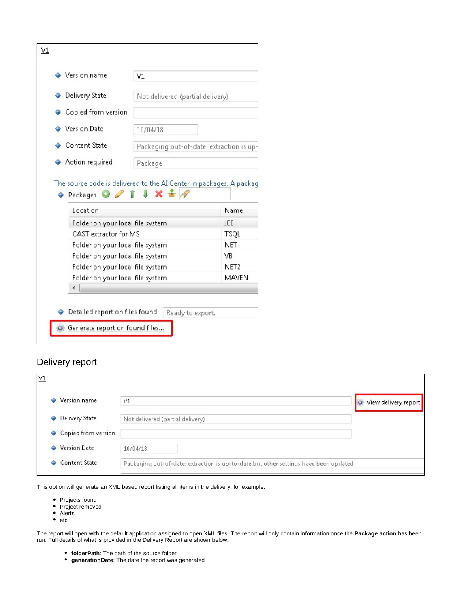| ♦ Version name                                                                                                    | V1                                                                            |                  |  |
|-------------------------------------------------------------------------------------------------------------------|-------------------------------------------------------------------------------|------------------|--|
| ♦ Delivery State                                                                                                  | Not delivered (partial delivery)                                              |                  |  |
| ♦ Copied from version                                                                                             |                                                                               |                  |  |
| ♦ Version Date                                                                                                    | 10/04/18                                                                      |                  |  |
| ← Content State                                                                                                   | Packaging out-of-date: extraction is up                                       |                  |  |
|                                                                                                                   |                                                                               |                  |  |
| ♦ Action required<br>$\leftrightarrow$ Packages $\circ$ $\circ$ $\circ$ $\circ$ $\bullet$ $\star$ $\star$ $\star$ | Package<br>The source code is delivered to the AI Center in packages. A packa |                  |  |
| Location                                                                                                          |                                                                               | Name             |  |
| Folder on your local file system                                                                                  |                                                                               | JEE              |  |
| CAST extractor for MS                                                                                             |                                                                               | <b>TSQL</b>      |  |
| Folder on your local file system                                                                                  |                                                                               | <b>NET</b>       |  |
| Folder on your local file system                                                                                  |                                                                               | VB.              |  |
| Folder on your local file system                                                                                  |                                                                               | NET <sub>2</sub> |  |
| Folder on your local file system                                                                                  |                                                                               | <b>MAVEN</b>     |  |

### <span id="page-3-0"></span>Delivery report

| $\underline{V1}$                                                                                                |                                                                                      |                      |
|-----------------------------------------------------------------------------------------------------------------|--------------------------------------------------------------------------------------|----------------------|
| Version name                                                                                                    | V1                                                                                   | View delivery report |
| Delivery State<br>۰                                                                                             | Not delivered (partial delivery)                                                     |                      |
| Copied from version<br>۰                                                                                        |                                                                                      |                      |
| <b>Version Date</b><br>۵                                                                                        | 10/04/18                                                                             |                      |
| <b>Content State</b>                                                                                            | Packaging out-of-date: extraction is up-to-date but other settings have been updated |                      |
| the contract of the contract of the contract of the contract of the contract of the contract of the contract of |                                                                                      |                      |

This option will generate an XML based report listing all items in the delivery, for example:

- Projects found
- Project removed
- Alerts  $e_{\text{etc.}}$

The report will open with the default application assigned to open XML files. The report will only contain information once the **Package action** has been run. Full details of what is provided in the Delivery Report are shown below:

- **folderPath**: The path of the source folder
- **generationDate**: The date the report was generated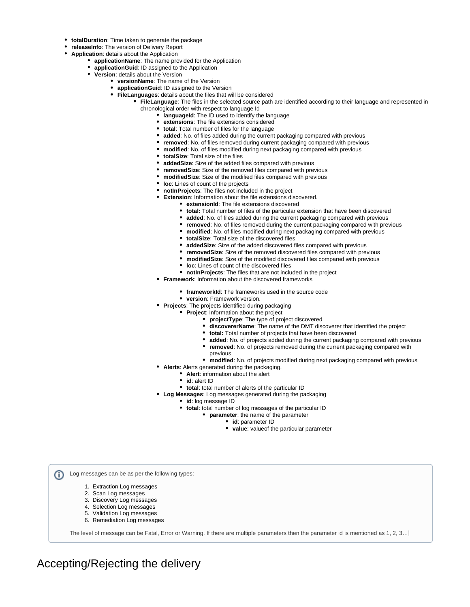- **totalDuration**: Time taken to generate the package
- **releaseInfo**: The version of Delivery Report
- **Application**: details about the Application
	- **applicationName**: The name provided for the Application
	- **applicationGuid**: ID assigned to the Application
	- **Version**: details about the Version
		- **versionName**: The name of the Version
		- **applicationGuid**: ID assigned to the Version
		- **FileLanguages**: details about the files that will be considered
			- **FileLanguage**: The files in the selected source path are identified according to their language and represented in chronological order with respect to language Id
				- **languageId**: The ID used to identify the language
				- **extensions**: The file extensions considered
				- **total**: Total number of files for the language
				- **added**: No. of files added during the current packaging compared with previous
				- **removed**: No. of files removed during current packaging compared with previous
				- **modified**: No. of files modified during next packaging compared with previous
					- **totalSize**: Total size of the files
					- **addedSize**: Size of the added files compared with previous
					- **removedSize**: Size of the removed files compared with previous
					- **modifiedSize**: Size of the modified files compared with previous
					- $\bullet$ **loc**: Lines of count of the projects
					- **notInProjects**: The files not included in the project
						- **Extension**: Information about the file extensions discovered.
							- **extensionId**: The file extensions discovered
							- **total:** Total number of files of the particular extension that have been discovered
							- **added**: No. of files added during the current packaging compared with previous
							- **removed**: No. of files removed during the current packaging compared with previous
							- **modified**: No. of files modified during next packaging compared with previous
							- **totalSize**: Total size of the discovered files
							- **addedSize**: Size of the added discovered files compared with previous
							- **removedSize**: Size of the removed discovered files compared with previous
							- **modifiedSize**: Size of the modified discovered files compared with previous
							- **loc**: Lines of count of the discovered files
							- **notInProjects**: The files that are not included in the project
					- **Framework**: Information about the discovered frameworks
						- **frameworkId**: The frameworks used in the source code
						- **version**: Framework version.
					- **Projects**: The projects identified during packaging
						- **Project**: Information about the project
							- **projectType**: The type of project discovered
								- **discovererName**: The name of the DMT discoverer that identified the project
							- $\bullet$ **total:** Total number of projects that have been discovered
							- **added**: No. of projects added during the current packaging compared with previous
							- **removed**: No. of projects removed during the current packaging compared with
							- previous
							- **modified**: No. of projects modified during next packaging compared with previous
					- **Alerts**: Alerts generated during the packaging.
						- **Alert**: information about the alert
						- **id**: alert ID
						- **total**: total number of alerts of the particular ID
					- **Log Messages**: Log messages generated during the packaging
						- **id**: log message ID
						- **total**: total number of log messages of the particular ID
							- **parameter**: the name of the parameter
								- **id**: parameter ID
									- **value**: valueof the particular parameter

Log messages can be as per the following types: (i)

- 1. Extraction Log messages
- 2. Scan Log messages
- 3. Discovery Log messages
- 4. Selection Log messages
- 5. Validation Log messages
- 6. Remediation Log messages

The level of message can be Fatal, Error or Warning. If there are multiple parameters then the parameter id is mentioned as 1, 2, 3…]

<span id="page-4-1"></span><span id="page-4-0"></span>Accepting/Rejecting the delivery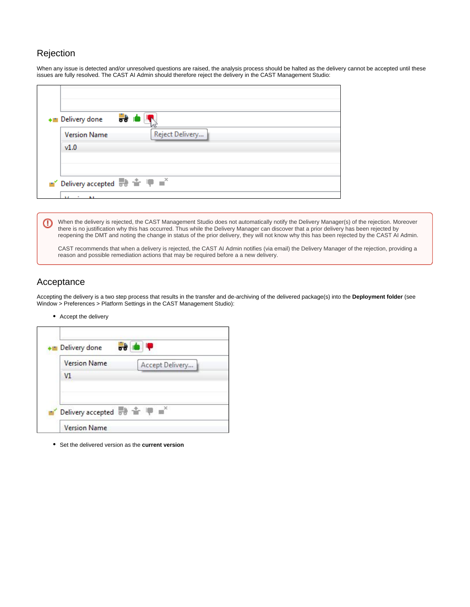### Rejection

When any issue is detected and/or unresolved questions are raised, the analysis process should be halted as the delivery cannot be accepted until these issues are fully resolved. The CAST AI Admin should therefore reject the delivery in the CAST Management Studio:

| + Delivery done                                                                                                            | <b>bo</b> K     |
|----------------------------------------------------------------------------------------------------------------------------|-----------------|
| <b>Version Name</b><br>v1.0                                                                                                | Reject Delivery |
| $\blacksquare'$ Delivery accepted $\overline{\mathbb{R}}$ $\mathbb{R}$ $\mathbb{R}$ $\blacksquare$ $\blacksquare^{\times}$ |                 |

When the delivery is rejected, the CAST Management Studio does not automatically notify the Delivery Manager(s) of the rejection. Moreover ⊕ there is no justification why this has occurred. Thus while the Delivery Manager can discover that a prior delivery has been rejected by reopening the DMT and noting the change in status of the prior delivery, they will not know why this has been rejected by the CAST AI Admin.

CAST recommends that when a delivery is rejected, the CAST AI Admin notifies (via email) the Delivery Manager of the rejection, providing a reason and possible remediation actions that may be required before a a new delivery.

### <span id="page-5-0"></span>Acceptance

Accepting the delivery is a two step process that results in the transfer and de-archiving of the delivered package(s) into the **Deployment folder** (see Window > Preferences > Platform Settings in the CAST Management Studio):

Accept the delivery



Set the delivered version as the **current version**